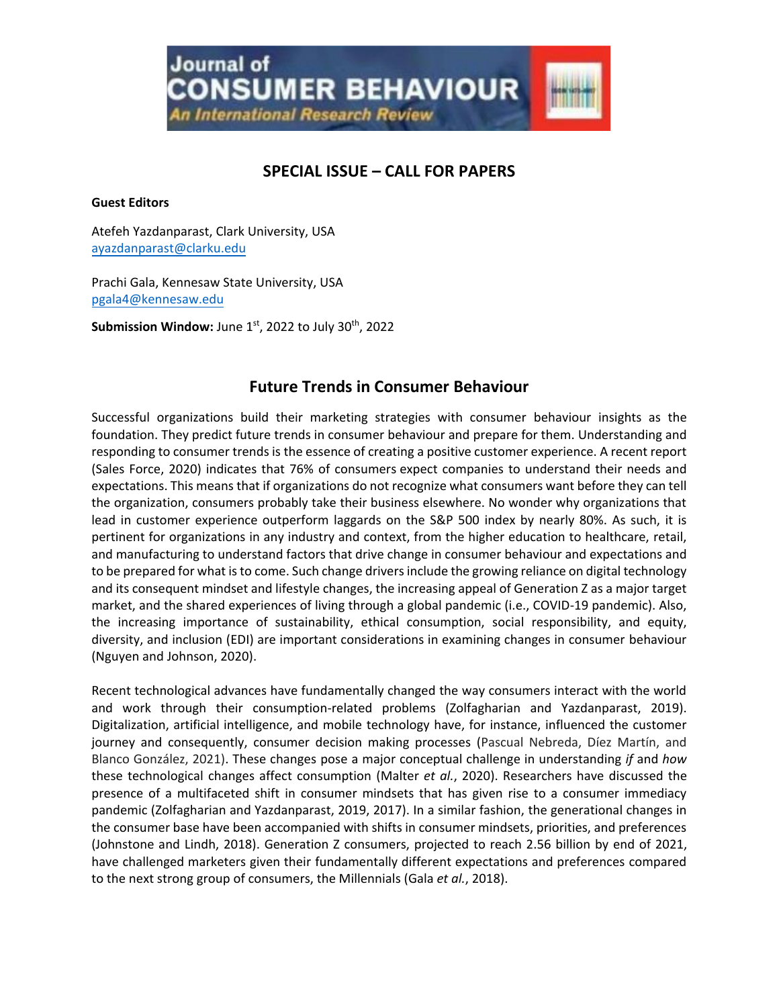**Journal** of **CONSUMER BEHAVIOUR** 

An International Research Review

# **SPECIAL ISSUE – CALL FOR PAPERS**

### **Guest Editors**

Atefeh Yazdanparast, Clark University, USA [ayazdanparast@clarku.edu](mailto:ayazdanparast@clarku.edu)

Prachi Gala, Kennesaw State University, USA [pgala4@kennesaw.edu](mailto:pgala4@kennesaw.edu) 

**Submission Window:** June 1st, 2022 to July 30<sup>th</sup>, 2022

# **Future Trends in Consumer Behaviour**

Successful organizations build their marketing strategies with consumer behaviour insights as the foundation. They predict future trends in consumer behaviour and prepare for them. Understanding and responding to consumer trends is the essence of creating a positive customer experience. A recent report (Sales Force, 2020) indicates that 76% of [consumers](http://www.salesforce.com/research/customer-expectations) expect companies to understand their needs and expectations. This means that if organizations do not recognize what consumers want before they can tell the organization, consumers probably take their business elsewhere. No wonder why organizations that lead in customer experience outperform laggards on the S&P 500 index by nearly 80%. As such, it is pertinent for organizations in any industry and context, from the higher education to healthcare, retail, and manufacturing to understand factors that drive change in consumer behaviour and expectations and to be prepared for what is to come. Such change drivers include the growing reliance on digital technology and its consequent mindset and lifestyle changes, the increasing appeal of Generation Z as a major target market, and the shared experiences of living through a global pandemic (i.e., COVID-19 pandemic). Also, the increasing importance of sustainability, ethical consumption, social responsibility, and equity, diversity, and inclusion (EDI) are important considerations in examining changes in consumer behaviour (Nguyen and Johnson, 2020).

Recent technological advances have fundamentally changed the way consumers interact with the world and work through their consumption-related problems (Zolfagharian and Yazdanparast, 2019). Digitalization, artificial intelligence, and mobile technology have, for instance, influenced the customer journey and consequently, consumer decision making processes (Pascual Nebreda, Díez Martín, and Blanco González, 2021). These changes pose a major conceptual challenge in understanding *if* and *how* these technological changes affect consumption (Malter *et al.*, 2020). Researchers have discussed the presence of a multifaceted shift in consumer mindsets that has given rise to a consumer immediacy pandemic (Zolfagharian and Yazdanparast, 2019, 2017). In a similar fashion, the generational changes in the consumer base have been accompanied with shifts in consumer mindsets, priorities, and preferences (Johnstone and Lindh, 2018). Generation Z consumers, projected to reach 2.56 billion by end of 2021, have challenged marketers given their fundamentally different expectations and preferences compared to the next strong group of consumers, the Millennials (Gala *et al.*, 2018).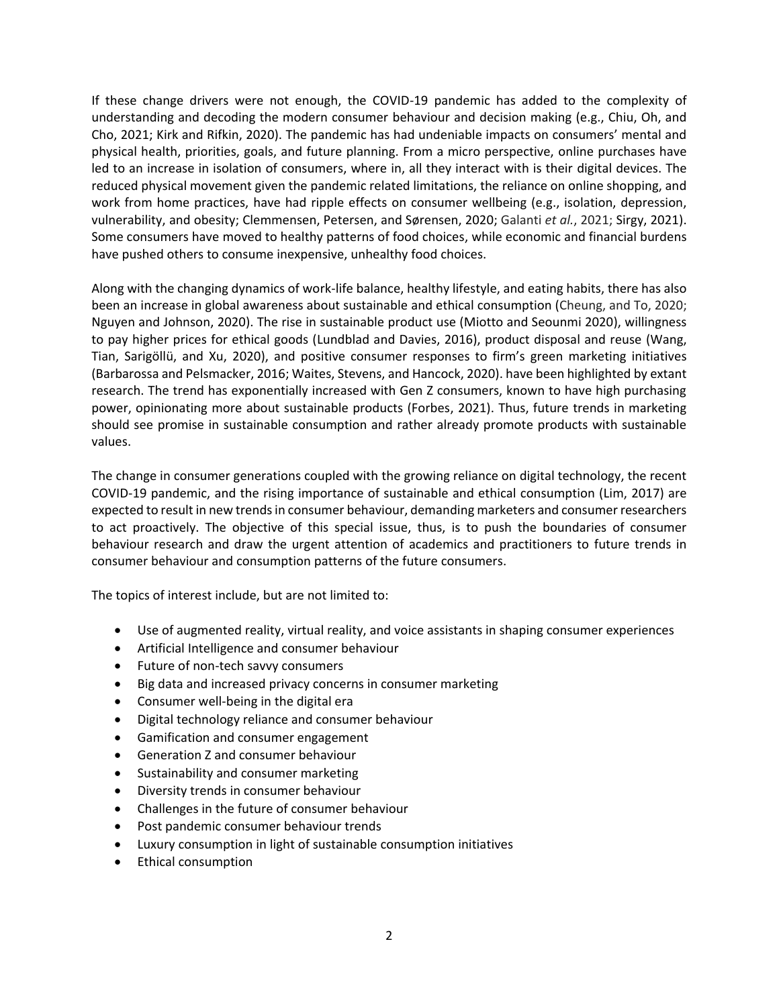If these change drivers were not enough, the COVID-19 pandemic has added to the complexity of understanding and decoding the modern consumer behaviour and decision making (e.g., Chiu, Oh, and Cho, 2021; Kirk and Rifkin, 2020). The pandemic has had undeniable impacts on consumers' mental and physical health, priorities, goals, and future planning. From a micro perspective, online purchases have led to an increase in isolation of consumers, where in, all they interact with is their digital devices. The reduced physical movement given the pandemic related limitations, the reliance on online shopping, and work from home practices, have had ripple effects on consumer wellbeing (e.g., isolation, depression, vulnerability, and obesity; Clemmensen, Petersen, and Sørensen, 2020; Galanti *et al.*, 2021; Sirgy, 2021). Some consumers have moved to healthy patterns of food choices, while economic and financial burdens have pushed others to consume inexpensive, unhealthy food choices.

Along with the changing dynamics of work-life balance, healthy lifestyle, and eating habits, there has also been an increase in global awareness about sustainable and ethical consumption (Cheung, and To, 2020; Nguyen and Johnson, 2020). The rise in sustainable product use (Miotto and Seounmi 2020), willingness to pay higher prices for ethical goods (Lundblad and Davies, 2016), product disposal and reuse (Wang, Tian, Sarigöllü, and Xu, 2020), and positive consumer responses to firm's green marketing initiatives (Barbarossa and Pelsmacker, 2016; Waites, Stevens, and Hancock, 2020). have been highlighted by extant research. The trend has exponentially increased with Gen Z consumers, known to have high purchasing power, opinionating more about sustainable products (Forbes, 2021). Thus, future trends in marketing should see promise in sustainable consumption and rather already promote products with sustainable values.

The change in consumer generations coupled with the growing reliance on digital technology, the recent COVID-19 pandemic, and the rising importance of sustainable and ethical consumption (Lim, 2017) are expected to result in new trends in consumer behaviour, demanding marketers and consumer researchers to act proactively. The objective of this special issue, thus, is to push the boundaries of consumer behaviour research and draw the urgent attention of academics and practitioners to future trends in consumer behaviour and consumption patterns of the future consumers.

The topics of interest include, but are not limited to:

- Use of augmented reality, virtual reality, and voice assistants in shaping consumer experiences
- Artificial Intelligence and consumer behaviour
- Future of non-tech savvy consumers
- Big data and increased privacy concerns in consumer marketing
- Consumer well-being in the digital era
- Digital technology reliance and consumer behaviour
- Gamification and consumer engagement
- Generation Z and consumer behaviour
- Sustainability and consumer marketing
- Diversity trends in consumer behaviour
- Challenges in the future of consumer behaviour
- Post pandemic consumer behaviour trends
- Luxury consumption in light of sustainable consumption initiatives
- Ethical consumption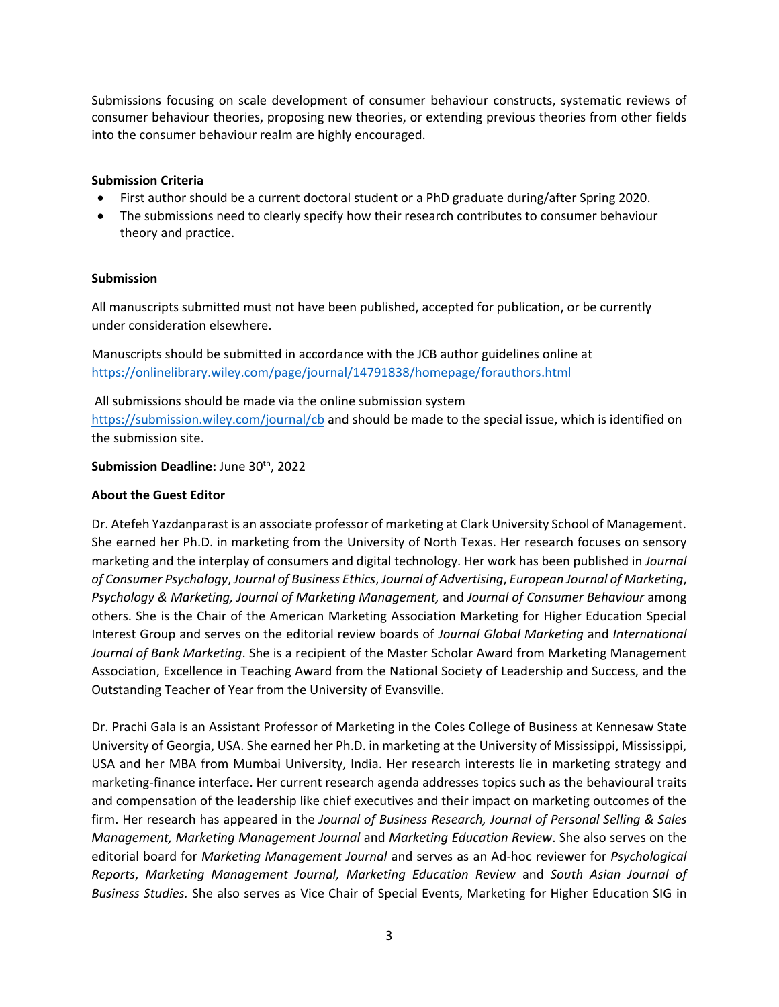Submissions focusing on scale development of consumer behaviour constructs, systematic reviews of consumer behaviour theories, proposing new theories, or extending previous theories from other fields into the consumer behaviour realm are highly encouraged.

## **Submission Criteria**

- First author should be a current doctoral student or a PhD graduate during/after Spring 2020.
- The submissions need to clearly specify how their research contributes to consumer behaviour theory and practice.

#### **Submission**

All manuscripts submitted must not have been published, accepted for publication, or be currently under consideration elsewhere.

Manuscripts should be submitted in accordance with the JCB author guidelines online at <https://onlinelibrary.wiley.com/page/journal/14791838/homepage/forauthors.html>

All submissions should be made via the online submission system <https://submission.wiley.com/journal/cb> and should be made to the special issue, which is identified on the submission site.

## Submission Deadline: June 30<sup>th</sup>, 2022

### **About the Guest Editor**

Dr. Atefeh Yazdanparast is an associate professor of marketing at Clark University School of Management. She earned her Ph.D. in marketing from the University of North Texas. Her research focuses on sensory marketing and the interplay of consumers and digital technology. Her work has been published in *Journal of Consumer Psychology*, *Journal of Business Ethics*, *Journal of Advertising*, *European Journal of Marketing*, *Psychology & Marketing, Journal of Marketing Management,* and *Journal of Consumer Behaviour* among others. She is the Chair of the American Marketing Association Marketing for Higher Education Special Interest Group and serves on the editorial review boards of *Journal Global Marketing* and *International Journal of Bank Marketing*. She is a recipient of the Master Scholar Award from Marketing Management Association, Excellence in Teaching Award from the National Society of Leadership and Success, and the Outstanding Teacher of Year from the University of Evansville.

Dr. Prachi Gala is an Assistant Professor of Marketing in the Coles College of Business at Kennesaw State University of Georgia, USA. She earned her Ph.D. in marketing at the University of Mississippi, Mississippi, USA and her MBA from Mumbai University, India. Her research interests lie in marketing strategy and marketing-finance interface. Her current research agenda addresses topics such as the behavioural traits and compensation of the leadership like chief executives and their impact on marketing outcomes of the firm. Her research has appeared in the *Journal of Business Research, Journal of Personal Selling & Sales Management, Marketing Management Journal* and *Marketing Education Review*. She also serves on the editorial board for *Marketing Management Journal* and serves as an Ad-hoc reviewer for *Psychological Reports*, *Marketing Management Journal, Marketing Education Review* and *South Asian Journal of Business Studies.* She also serves as Vice Chair of Special Events, Marketing for Higher Education SIG in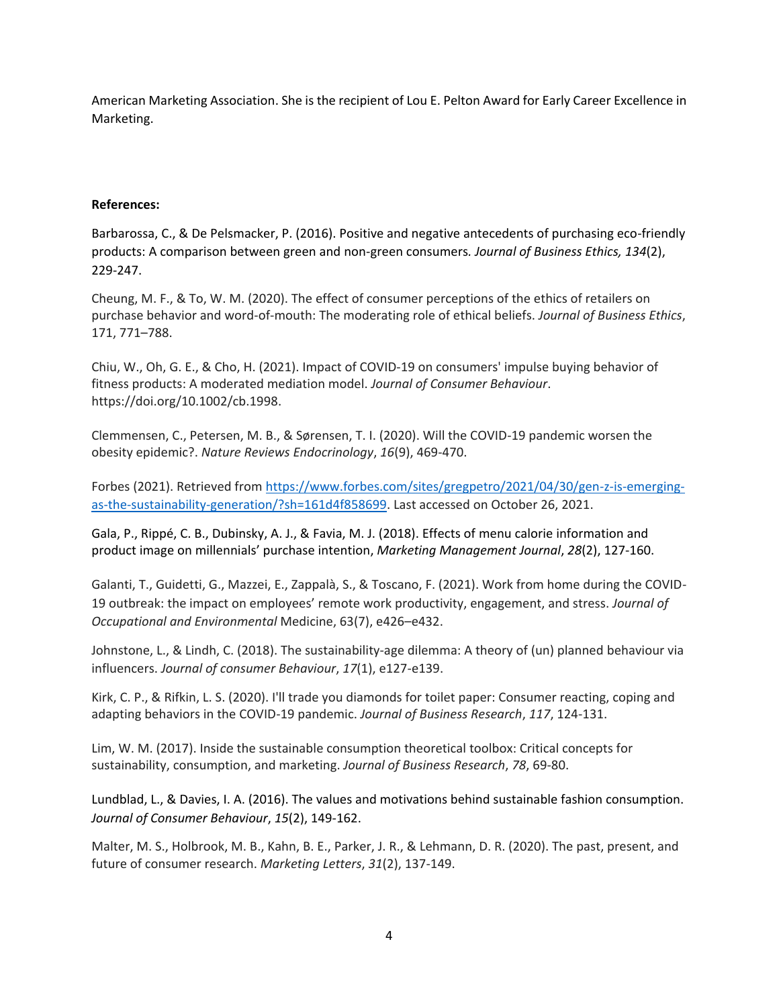American Marketing Association. She is the recipient of Lou E. Pelton Award for Early Career Excellence in Marketing.

## **References:**

Barbarossa, C., & De Pelsmacker, P. (2016). Positive and negative antecedents of purchasing eco-friendly products: A comparison between green and non-green consumers*. Journal of Business Ethics, 134*(2), 229-247.

Cheung, M. F., & To, W. M. (2020). The effect of consumer perceptions of the ethics of retailers on purchase behavior and word-of-mouth: The moderating role of ethical beliefs. *Journal of Business Ethics*, 171, 771–788.

Chiu, W., Oh, G. E., & Cho, H. (2021). Impact of COVID‐19 on consumers' impulse buying behavior of fitness products: A moderated mediation model. *Journal of Consumer Behaviour*. [https://doi.org/10.1002/cb.1998.](https://doi.org/10.1002/cb.1998)

Clemmensen, C., Petersen, M. B., & Sørensen, T. I. (2020). Will the COVID-19 pandemic worsen the obesity epidemic?. *Nature Reviews Endocrinology*, *16*(9), 469-470.

Forbes (2021). Retrieved from [https://www.forbes.com/sites/gregpetro/2021/04/30/gen-z-is-emerging](https://www.forbes.com/sites/gregpetro/2021/04/30/gen-z-is-emerging-as-the-sustainability-generation/?sh=161d4f858699)[as-the-sustainability-generation/?sh=161d4f858699.](https://www.forbes.com/sites/gregpetro/2021/04/30/gen-z-is-emerging-as-the-sustainability-generation/?sh=161d4f858699) Last accessed on October 26, 2021.

Gala, P., Rippé, C. B., Dubinsky, A. J., & Favia, M. J. (2018). Effects of menu calorie information and product image on millennials' purchase intention, *Marketing Management Journal*, *28*(2), 127-160.

Galanti, T., Guidetti, G., Mazzei, E., Zappalà, S., & Toscano, F. (2021). Work from home during the COVID-19 outbreak: the impact on employees' remote work productivity, engagement, and stress. *Journal of Occupational and Environmental* Medicine, 63(7), e426–e432.

Johnstone, L., & Lindh, C. (2018). The sustainability-age dilemma: A theory of (un) planned behaviour via influencers. *Journal of consumer Behaviour*, *17*(1), e127-e139.

Kirk, C. P., & Rifkin, L. S. (2020). I'll trade you diamonds for toilet paper: Consumer reacting, coping and adapting behaviors in the COVID-19 pandemic. *Journal of Business Research*, *117*, 124-131.

Lim, W. M. (2017). Inside the sustainable consumption theoretical toolbox: Critical concepts for sustainability, consumption, and marketing. *Journal of Business Research*, *78*, 69-80.

Lundblad, L., & Davies, I. A. (2016). The values and motivations behind sustainable fashion consumption. *Journal of Consumer Behaviour*, *15*(2), 149-162.

Malter, M. S., Holbrook, M. B., Kahn, B. E., Parker, J. R., & Lehmann, D. R. (2020). The past, present, and future of consumer research. *Marketing Letters*, *31*(2), 137-149.